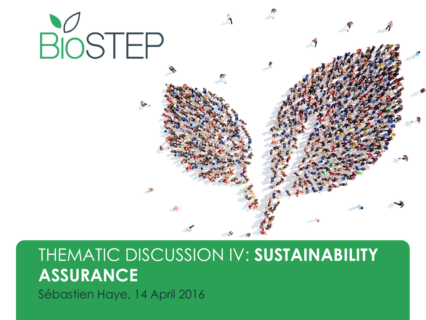

# THEMATIC DISCUSSION IV: **SUSTAINABILITY ASSURANCE**

Sébastien Haye, 14 April 2016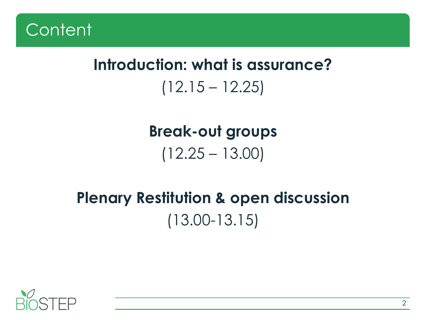

## **Introduction: what is assurance?**  $(12.15 - 12.25)$

**Break-out groups** (12.25 – 13.00)

# **Plenary Restitution & open discussion** (13.00-13.15)

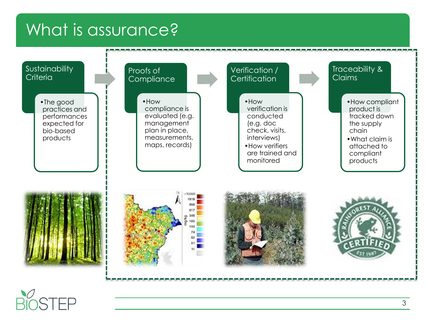#### What is assurance?



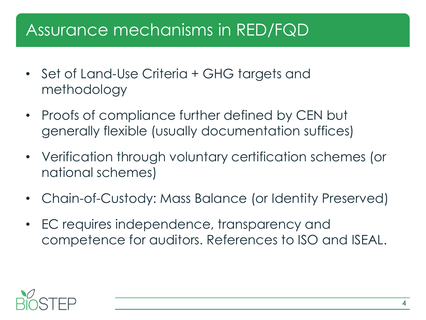#### Assurance mechanisms in RED/FQD

- Set of Land-Use Criteria + GHG targets and methodology
- Proofs of compliance further defined by CEN but generally flexible (usually documentation suffices)
- Verification through voluntary certification schemes (or national schemes)
- Chain-of-Custody: Mass Balance (or Identity Preserved)
- EC requires independence, transparency and competence for auditors. References to ISO and ISEAL.

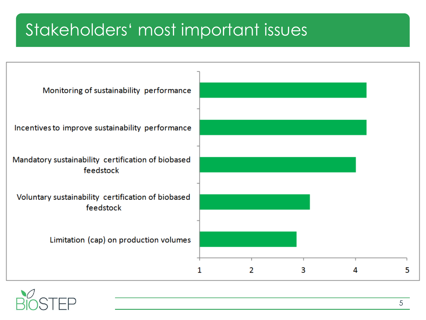#### Stakeholders' most important issues



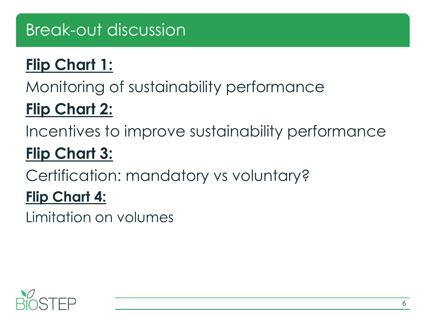## Break-out discussion

# **Flip Chart 1:**

Monitoring of sustainability performance

# **Flip Chart 2:**

Incentives to improve sustainability performance

# **Flip Chart 3:**

Certification: mandatory vs voluntary?

#### **Flip Chart 4:**

Limitation on volumes